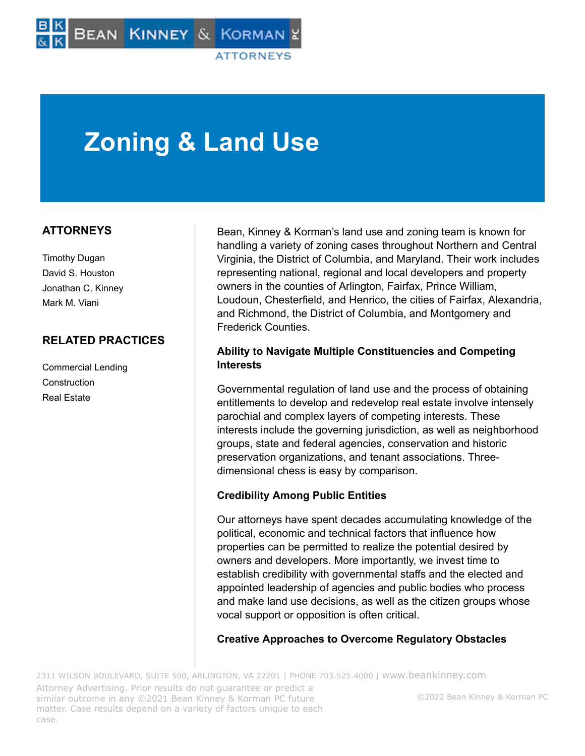# **Zoning & Land Use**

# **ATTORNEYS**

Timothy Dugan David S. Houston Jonathan C. Kinney Mark M. Viani

# **RELATED PRACTICES**

Commercial Lending Construction Real Estate

Bean, Kinney & Korman's land use and zoning team is known for handling a variety of zoning cases throughout Northern and Central Virginia, the District of Columbia, and Maryland. Their work includes representing national, regional and local developers and property owners in the counties of Arlington, Fairfax, Prince William, Loudoun, Chesterfield, and Henrico, the cities of Fairfax, Alexandria, and Richmond, the District of Columbia, and Montgomery and Frederick Counties.

## **Ability to Navigate Multiple Constituencies and Competing Interests**

Governmental regulation of land use and the process of obtaining entitlements to develop and redevelop real estate involve intensely parochial and complex layers of competing interests. These interests include the governing jurisdiction, as well as neighborhood groups, state and federal agencies, conservation and historic preservation organizations, and tenant associations. Threedimensional chess is easy by comparison.

# **Credibility Among Public Entities**

Our attorneys have spent decades accumulating knowledge of the political, economic and technical factors that influence how properties can be permitted to realize the potential desired by owners and developers. More importantly, we invest time to establish credibility with governmental staffs and the elected and appointed leadership of agencies and public bodies who process and make land use decisions, as well as the citizen groups whose vocal support or opposition is often critical.

#### **Creative Approaches to Overcome Regulatory Obstacles**

2311 WILSON BOULEVARD, SUITE 500, ARLINGTON, VA 22201 | PHONE 703.525.4000 | [www.beankinney.com](http://www.beankinney.com/) Attorney Advertising. Prior results do not guarantee or predict a similar outcome in any ©2021 Bean Kinney & Korman PC future matter. Case results depend on a variety of factors unique to each case.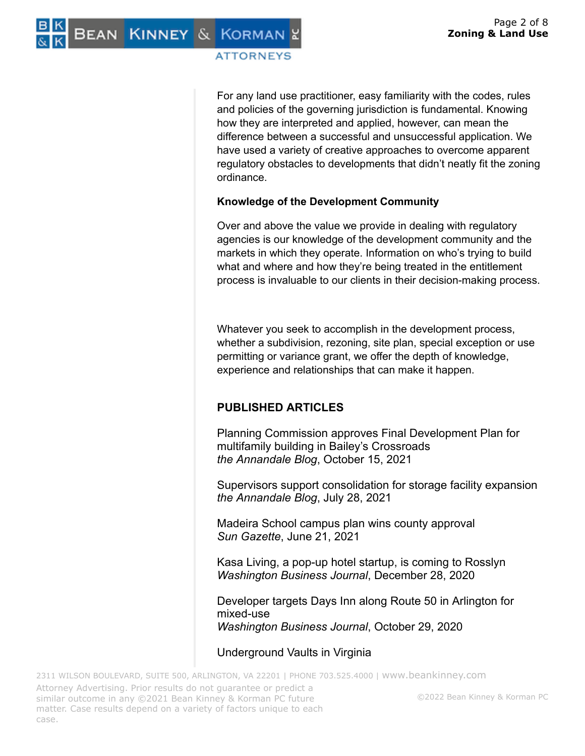For any land use practitioner, easy familiarity with the codes, rules and policies of the governing jurisdiction is fundamental. Knowing how they are interpreted and applied, however, can mean the difference between a successful and unsuccessful application. We have used a variety of creative approaches to overcome apparent regulatory obstacles to developments that didn't neatly fit the zoning ordinance.

# **Knowledge of the Development Community**

Over and above the value we provide in dealing with regulatory agencies is our knowledge of the development community and the markets in which they operate. Information on who's trying to build what and where and how they're being treated in the entitlement process is invaluable to our clients in their decision-making process.

Whatever you seek to accomplish in the development process, whether a subdivision, rezoning, site plan, special exception or use permitting or variance grant, we offer the depth of knowledge, experience and relationships that can make it happen.

# **PUBLISHED ARTICLES**

Planning Commission approves Final Development Plan for multifamily building in Bailey's Crossroads *the Annandale Blog*, October 15, 2021

Supervisors support consolidation for storage facility expansion *the Annandale Blog*, July 28, 2021

Madeira School campus plan wins county approval *Sun Gazette*, June 21, 2021

Kasa Living, a pop-up hotel startup, is coming to Rosslyn *Washington Business Journal*, December 28, 2020

Developer targets Days Inn along Route 50 in Arlington for mixed-use *Washington Business Journal*, October 29, 2020

Underground Vaults in Virginia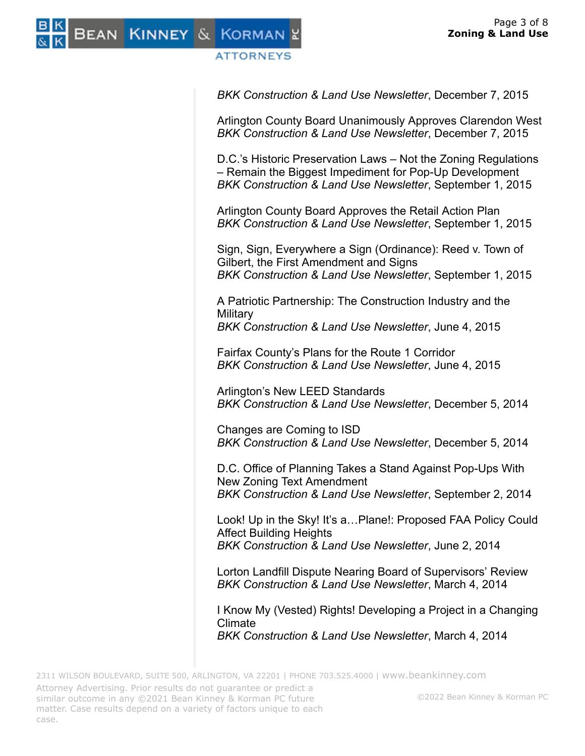BEAN KINNEY & KORMAN

## **ATTORNEYS**

*BKK Construction & Land Use Newsletter*, December 7, 2015

Arlington County Board Unanimously Approves Clarendon West *BKK Construction & Land Use Newsletter*, December 7, 2015

D.C.'s Historic Preservation Laws – Not the Zoning Regulations – Remain the Biggest Impediment for Pop-Up Development *BKK Construction & Land Use Newsletter*, September 1, 2015

Arlington County Board Approves the Retail Action Plan *BKK Construction & Land Use Newsletter*, September 1, 2015

Sign, Sign, Everywhere a Sign (Ordinance): Reed v. Town of Gilbert, the First Amendment and Signs *BKK Construction & Land Use Newsletter*, September 1, 2015

A Patriotic Partnership: The Construction Industry and the **Military** *BKK Construction & Land Use Newsletter*, June 4, 2015

Fairfax County's Plans for the Route 1 Corridor *BKK Construction & Land Use Newsletter*, June 4, 2015

Arlington's New LEED Standards *BKK Construction & Land Use Newsletter*, December 5, 2014

Changes are Coming to ISD *BKK Construction & Land Use Newsletter*, December 5, 2014

D.C. Office of Planning Takes a Stand Against Pop-Ups With New Zoning Text Amendment *BKK Construction & Land Use Newsletter*, September 2, 2014

Look! Up in the Sky! It's a…Plane!: Proposed FAA Policy Could Affect Building Heights *BKK Construction & Land Use Newsletter*, June 2, 2014

Lorton Landfill Dispute Nearing Board of Supervisors' Review *BKK Construction & Land Use Newsletter*, March 4, 2014

I Know My (Vested) Rights! Developing a Project in a Changing Climate

*BKK Construction & Land Use Newsletter*, March 4, 2014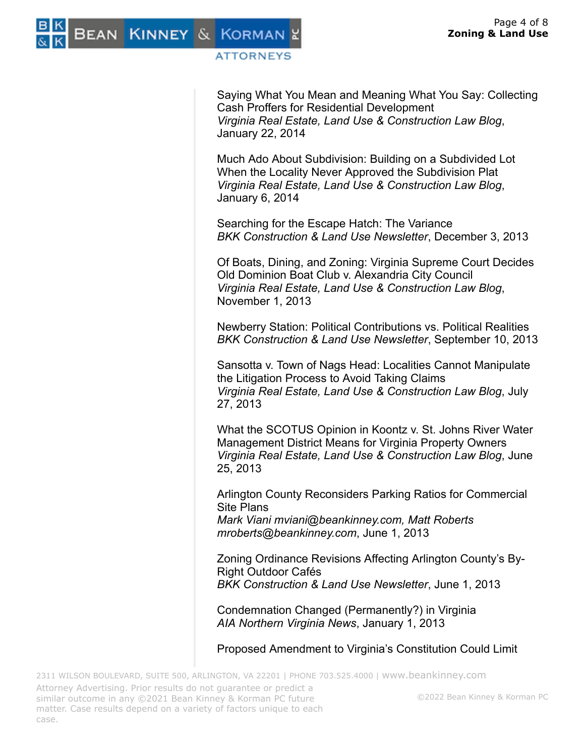Saying What You Mean and Meaning What You Say: Collecting Cash Proffers for Residential Development *Virginia Real Estate, Land Use & Construction Law Blog*, January 22, 2014

Much Ado About Subdivision: Building on a Subdivided Lot When the Locality Never Approved the Subdivision Plat *Virginia Real Estate, Land Use & Construction Law Blog*, January 6, 2014

Searching for the Escape Hatch: The Variance *BKK Construction & Land Use Newsletter*, December 3, 2013

Of Boats, Dining, and Zoning: Virginia Supreme Court Decides Old Dominion Boat Club v. Alexandria City Council *Virginia Real Estate, Land Use & Construction Law Blog*, November 1, 2013

Newberry Station: Political Contributions vs. Political Realities *BKK Construction & Land Use Newsletter*, September 10, 2013

Sansotta v. Town of Nags Head: Localities Cannot Manipulate the Litigation Process to Avoid Taking Claims *Virginia Real Estate, Land Use & Construction Law Blog*, July 27, 2013

What the SCOTUS Opinion in Koontz v. St. Johns River Water Management District Means for Virginia Property Owners *Virginia Real Estate, Land Use & Construction Law Blog*, June 25, 2013

Arlington County Reconsiders Parking Ratios for Commercial Site Plans

*Mark Viani mviani@beankinney.com, Matt Roberts mroberts@beankinney.com*, June 1, 2013

Zoning Ordinance Revisions Affecting Arlington County's By-Right Outdoor Cafés *BKK Construction & Land Use Newsletter*, June 1, 2013

Condemnation Changed (Permanently?) in Virginia *AIA Northern Virginia News*, January 1, 2013

Proposed Amendment to Virginia's Constitution Could Limit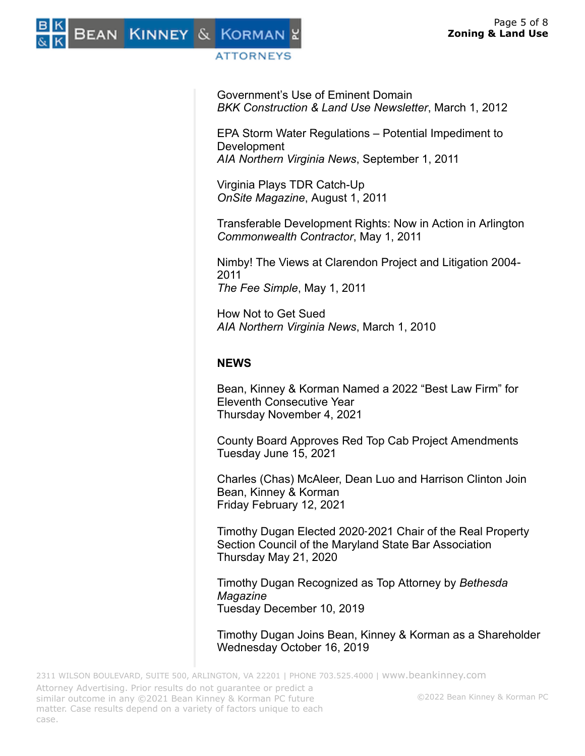

Government's Use of Eminent Domain *BKK Construction & Land Use Newsletter*, March 1, 2012

EPA Storm Water Regulations – Potential Impediment to Development *AIA Northern Virginia News*, September 1, 2011

Virginia Plays TDR Catch-Up *OnSite Magazine*, August 1, 2011

Transferable Development Rights: Now in Action in Arlington *Commonwealth Contractor*, May 1, 2011

Nimby! The Views at Clarendon Project and Litigation 2004- 2011 *The Fee Simple*, May 1, 2011

How Not to Get Sued *AIA Northern Virginia News*, March 1, 2010

# **NEWS**

Bean, Kinney & Korman Named a 2022 "Best Law Firm" for Eleventh Consecutive Year Thursday November 4, 2021

County Board Approves Red Top Cab Project Amendments Tuesday June 15, 2021

Charles (Chas) McAleer, Dean Luo and Harrison Clinton Join Bean, Kinney & Korman Friday February 12, 2021

Timothy Dugan Elected 2020‑2021 Chair of the Real Property Section Council of the Maryland State Bar Association Thursday May 21, 2020

Timothy Dugan Recognized as Top Attorney by *Bethesda Magazine* Tuesday December 10, 2019

Timothy Dugan Joins Bean, Kinney & Korman as a Shareholder Wednesday October 16, 2019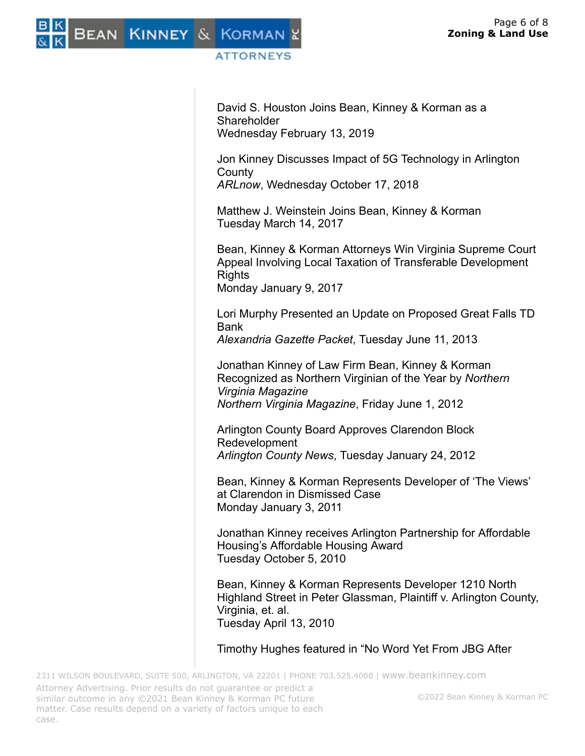David S. Houston Joins Bean, Kinney & Korman as a **Shareholder** Wednesday February 13, 2019

Jon Kinney Discusses Impact of 5G Technology in Arlington **County** *ARLnow*, Wednesday October 17, 2018

Matthew J. Weinstein Joins Bean, Kinney & Korman Tuesday March 14, 2017

Bean, Kinney & Korman Attorneys Win Virginia Supreme Court Appeal Involving Local Taxation of Transferable Development **Rights** Monday January 9, 2017

Lori Murphy Presented an Update on Proposed Great Falls TD Bank

*Alexandria Gazette Packet*, Tuesday June 11, 2013

Jonathan Kinney of Law Firm Bean, Kinney & Korman Recognized as Northern Virginian of the Year by *Northern Virginia Magazine Northern Virginia Magazine*, Friday June 1, 2012

Arlington County Board Approves Clarendon Block Redevelopment *Arlington County News*, Tuesday January 24, 2012

Bean, Kinney & Korman Represents Developer of 'The Views' at Clarendon in Dismissed Case Monday January 3, 2011

Jonathan Kinney receives Arlington Partnership for Affordable Housing's Affordable Housing Award Tuesday October 5, 2010

Bean, Kinney & Korman Represents Developer 1210 North Highland Street in Peter Glassman, Plaintiff v. Arlington County, Virginia, et. al. Tuesday April 13, 2010

Timothy Hughes featured in "No Word Yet From JBG After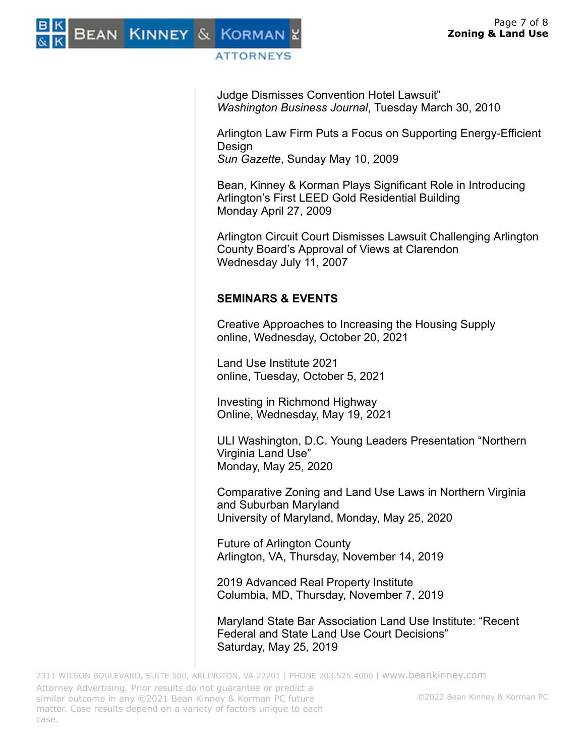

Judge Dismisses Convention Hotel Lawsuit" *Washington Business Journal*, Tuesday March 30, 2010

Arlington Law Firm Puts a Focus on Supporting Energy-Efficient Design *Sun Gazette*, Sunday May 10, 2009

Bean, Kinney & Korman Plays Significant Role in Introducing Arlington's First LEED Gold Residential Building Monday April 27, 2009

Arlington Circuit Court Dismisses Lawsuit Challenging Arlington County Board's Approval of Views at Clarendon Wednesday July 11, 2007

# **SEMINARS & EVENTS**

Creative Approaches to Increasing the Housing Supply online, Wednesday, October 20, 2021

Land Use Institute 2021 online, Tuesday, October 5, 2021

Investing in Richmond Highway Online, Wednesday, May 19, 2021

ULI Washington, D.C. Young Leaders Presentation "Northern Virginia Land Use" Monday, May 25, 2020

Comparative Zoning and Land Use Laws in Northern Virginia and Suburban Maryland University of Maryland, Monday, May 25, 2020

Future of Arlington County Arlington, VA, Thursday, November 14, 2019

2019 Advanced Real Property Institute Columbia, MD, Thursday, November 7, 2019

Maryland State Bar Association Land Use Institute: "Recent Federal and State Land Use Court Decisions" Saturday, May 25, 2019